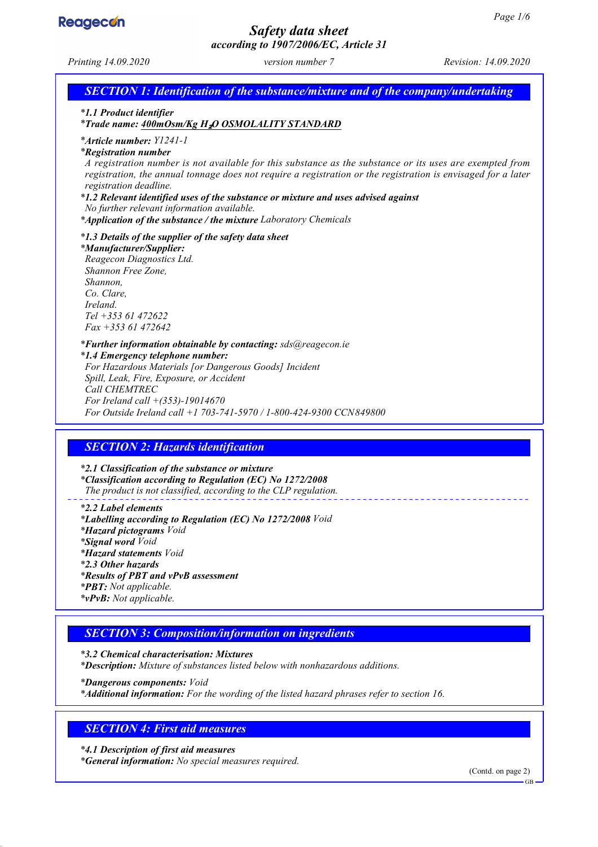

# *Safety data sheet*

*according to 1907/2006/EC, Article 31 Printing 14.09.2020 version number 7 Revision: 14.09.2020 SECTION 1: Identification of the substance/mixture and of the company/undertaking \* 1.1 Product identifier \* Trade name: 400mOsm/Kg H*₂*O OSMOLALITY STANDARD \* Article number: Y1241-1 \* Registration number A registration number is not available for this substance as the substance or its uses are exempted from registration, the annual tonnage does not require a registration or the registration is envisaged for a later registration deadline. \* 1.2 Relevant identified uses of the substance or mixture and uses advised against No further relevant information available. \* Application of the substance / the mixture Laboratory Chemicals \* 1.3 Details of the supplier of the safety data sheet \* Manufacturer/Supplier: Reagecon Diagnostics Ltd. Shannon Free Zone, Shannon, Co. Clare, Ireland. Tel +353 61 472622 Fax +353 61 472642 \* Further information obtainable by contacting: sds@reagecon.ie \* 1.4 Emergency telephone number: For Hazardous Materials [or Dangerous Goods] Incident Spill, Leak, Fire, Exposure, or Accident Call CHEMTREC For Ireland call +(353)-19014670 For Outside Ireland call +1 703-741-5970 / 1-800-424-9300 CCN849800 SECTION 2: Hazards identification \* 2.1 Classification of the substance or mixture \* Classification according to Regulation (EC) No 1272/2008 The product is not classified, according to the CLP regulation. \* 2.2 Label elements \* Labelling according to Regulation (EC) No 1272/2008 Void \* Hazard pictograms Void \* Signal word Void \* Hazard statements Void \* 2.3 Other hazards \* Results of PBT and vPvB assessment \* PBT: Not applicable. \* vPvB: Not applicable. SECTION 3: Composition/information on ingredients \* 3.2 Chemical characterisation: Mixtures \* Description: Mixture of substances listed below with nonhazardous additions.*

*\* Dangerous components: Void \* Additional information: For the wording of the listed hazard phrases refer to section 16.*

## *SECTION 4: First aid measures*

*\* 4.1 Description of first aid measures \* General information: No special measures required.*

(Contd. on page 2)

 $CD$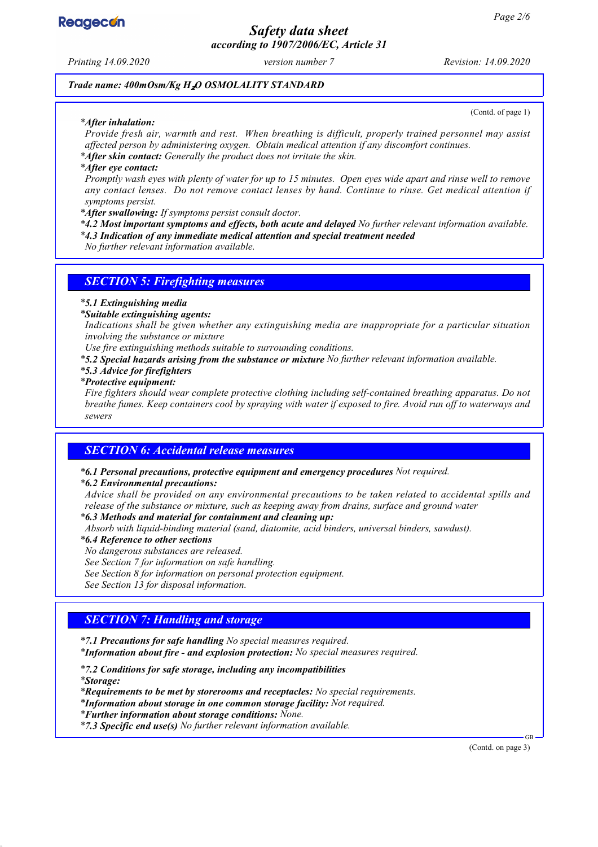

*Safety data sheet according to 1907/2006/EC, Article 31*

*Printing 14.09.2020 version number 7 Revision: 14.09.2020*

*Trade name: 400mOsm/Kg H*₂*O OSMOLALITY STANDARD*

#### *\* After inhalation:*

(Contd. of page 1)

*Provide fresh air, warmth and rest. When breathing is difficult, properly trained personnel may assist affected person by administering oxygen. Obtain medical attention if any discomfort continues.*

*\* After skin contact: Generally the product does not irritate the skin.*

*\* After eye contact:*

*Promptly wash eyes with plenty of water for up to 15 minutes. Open eyes wide apart and rinse well to remove any contact lenses. Do not remove contact lenses by hand. Continue to rinse. Get medical attention if symptoms persist.*

*\* After swallowing: If symptoms persist consult doctor.*

*\* 4.2 Most important symptoms and effects, both acute and delayed No further relevant information available.*

*\* 4.3 Indication of any immediate medical attention and special treatment needed*

*No further relevant information available.*

#### *SECTION 5: Firefighting measures*

#### *\* 5.1 Extinguishing media*

*\* Suitable extinguishing agents:*

*Indications shall be given whether any extinguishing media are inappropriate for a particular situation involving the substance or mixture*

*Use fire extinguishing methods suitable to surrounding conditions.*

*\* 5.2 Special hazards arising from the substance or mixture No further relevant information available.*

#### *\* 5.3 Advice for firefighters*

*\* Protective equipment:*

*Fire fighters should wear complete protective clothing including self-contained breathing apparatus. Do not breathe fumes. Keep containers cool by spraying with water if exposed to fire. Avoid run off to waterways and sewers*

## *SECTION 6: Accidental release measures*

*\* 6.1 Personal precautions, protective equipment and emergency procedures Not required.*

#### *\* 6.2 Environmental precautions:*

*Advice shall be provided on any environmental precautions to be taken related to accidental spills and release of the substance or mixture, such as keeping away from drains, surface and ground water*

*\* 6.3 Methods and material for containment and cleaning up:*

*Absorb with liquid-binding material (sand, diatomite, acid binders, universal binders, sawdust).*

#### *\* 6.4 Reference to other sections*

*No dangerous substances are released.*

*See Section 7 for information on safe handling.*

*See Section 8 for information on personal protection equipment.*

*See Section 13 for disposal information.*

## *SECTION 7: Handling and storage*

*\* 7.1 Precautions for safe handling No special measures required. \* Information about fire - and explosion protection: No special measures required.*

*\* 7.2 Conditions for safe storage, including any incompatibilities*

*\* Storage:*

*\* Requirements to be met by storerooms and receptacles: No special requirements.*

*\* Information about storage in one common storage facility: Not required.*

*\* Further information about storage conditions: None.*

*\* 7.3 Specific end use(s) No further relevant information available.*

(Contd. on page 3)

GB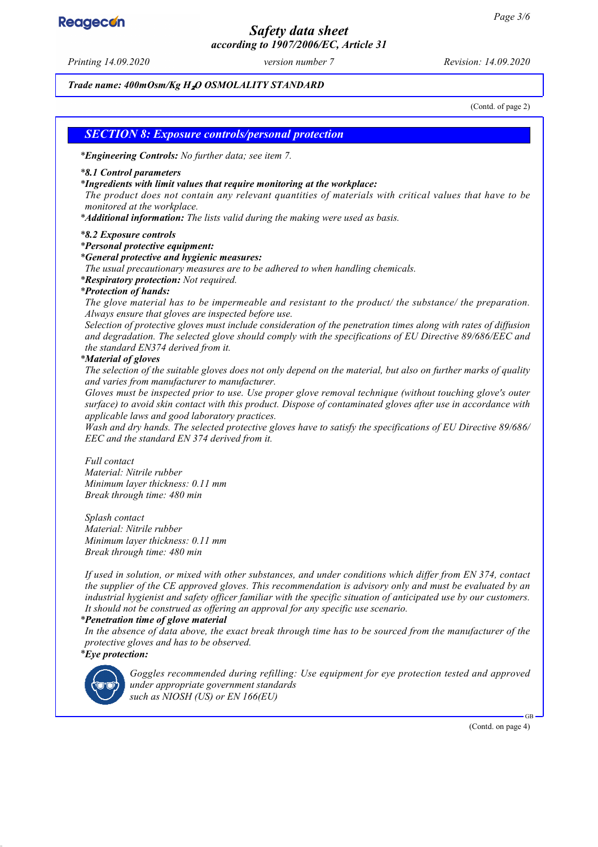# **Reagecon**

## *Safety data sheet according to 1907/2006/EC, Article 31*

*Printing 14.09.2020 version number 7 Revision: 14.09.2020*

*Trade name: 400mOsm/Kg H*₂*O OSMOLALITY STANDARD*

(Contd. of page 2)

### *SECTION 8: Exposure controls/personal protection*

*\* Engineering Controls: No further data; see item 7.*

#### *\* 8.1 Control parameters*

*\* Ingredients with limit values that require monitoring at the workplace:*

*The product does not contain any relevant quantities of materials with critical values that have to be monitored at the workplace.*

*\* Additional information: The lists valid during the making were used as basis.*

#### *\* 8.2 Exposure controls*

#### *\* Personal protective equipment:*

*\* General protective and hygienic measures:*

*The usual precautionary measures are to be adhered to when handling chemicals.*

*\* Respiratory protection: Not required.*

#### *\* Protection of hands:*

*The glove material has to be impermeable and resistant to the product/ the substance/ the preparation. Always ensure that gloves are inspected before use.*

*Selection of protective gloves must include consideration of the penetration times along with rates of diffusion and degradation. The selected glove should comply with the specifications of EU Directive 89/686/EEC and the standard EN374 derived from it.*

#### *\* Material of gloves*

*The selection of the suitable gloves does not only depend on the material, but also on further marks of quality and varies from manufacturer to manufacturer.*

*Gloves must be inspected prior to use. Use proper glove removal technique (without touching glove's outer surface) to avoid skin contact with this product. Dispose of contaminated gloves after use in accordance with applicable laws and good laboratory practices.*

*Wash and dry hands. The selected protective gloves have to satisfy the specifications of EU Directive 89/686/ EEC and the standard EN 374 derived from it.*

#### *Full contact Material: Nitrile rubber*

*Minimum layer thickness: 0.11 mm Break through time: 480 min*

*Splash contact Material: Nitrile rubber Minimum layer thickness: 0.11 mm Break through time: 480 min*

*If used in solution, or mixed with other substances, and under conditions which differ from EN 374, contact the supplier of the CE approved gloves. This recommendation is advisory only and must be evaluated by an industrial hygienist and safety officer familiar with the specific situation of anticipated use by our customers. It should not be construed as offering an approval for any specific use scenario.*

#### *\* Penetration time of glove material*

*In the absence of data above, the exact break through time has to be sourced from the manufacturer of the protective gloves and has to be observed.*

#### *\* Eye protection:*



*Goggles recommended during refilling: Use equipment for eye protection tested and approved under appropriate government standards such as NIOSH (US) or EN 166(EU)*

(Contd. on page 4)

GB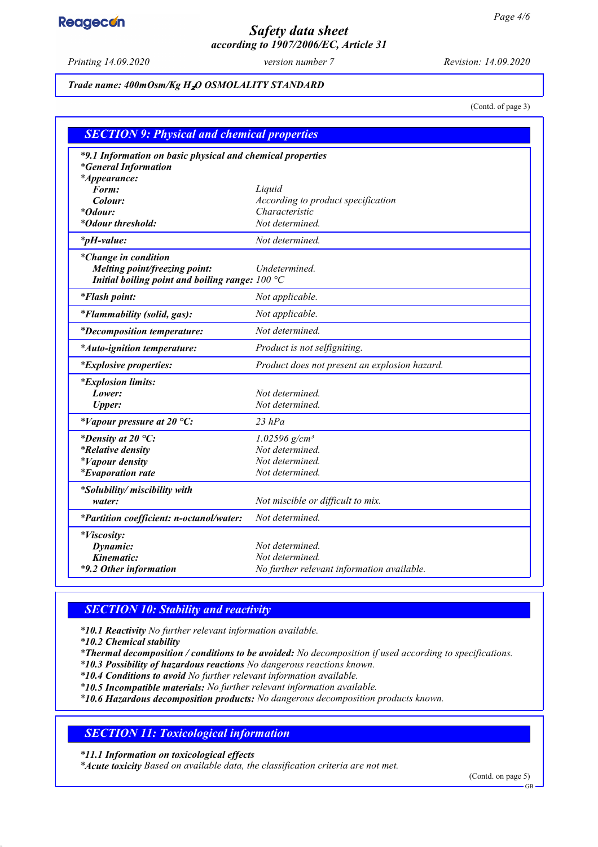# **Reagecon**

## *Safety data sheet according to 1907/2006/EC, Article 31*

*Printing 14.09.2020 version number 7 Revision: 14.09.2020*

#### *Trade name: 400mOsm/Kg H*₂*O OSMOLALITY STANDARD*

(Contd. of page 3)

| <b>SECTION 9: Physical and chemical properties</b>         |                                               |  |
|------------------------------------------------------------|-----------------------------------------------|--|
| *9.1 Information on basic physical and chemical properties |                                               |  |
| <i>*General Information</i>                                |                                               |  |
| <i>*Appearance:</i>                                        |                                               |  |
| Form:                                                      | Liquid                                        |  |
| Colour:                                                    | According to product specification            |  |
| <i>*Odour:</i>                                             | Characteristic<br>Not determined.             |  |
| *Odour threshold:                                          |                                               |  |
| $*_{p}H$ -value:                                           | Not determined.                               |  |
| <i>*Change in condition</i>                                |                                               |  |
| Melting point/freezing point:                              | Undetermined.                                 |  |
| Initial boiling point and boiling range: $100 °C$          |                                               |  |
| <i>*Flash point:</i>                                       | Not applicable.                               |  |
| *Flammability (solid, gas):                                | Not applicable.                               |  |
| <i>*Decomposition temperature:</i>                         | Not determined.                               |  |
| *Auto-ignition temperature:                                | Product is not selfigniting.                  |  |
| <i>*Explosive properties:</i>                              | Product does not present an explosion hazard. |  |
| <i>*Explosion limits:</i>                                  |                                               |  |
| Lower:                                                     | Not determined.                               |  |
| <b>Upper:</b>                                              | Not determined.                               |  |
| *Vapour pressure at 20 $^{\circ}C$ :                       | $23$ $hPa$                                    |  |
| *Density at 20 $^{\circ}C$ :                               | $1.02596$ g/cm <sup>3</sup>                   |  |
| <i>*Relative density</i>                                   | Not determined.                               |  |
| <i>*Vapour density</i>                                     | Not determined.                               |  |
| <i>*Evaporation rate</i>                                   | Not determined.                               |  |
| *Solubility/ miscibility with                              |                                               |  |
| water:                                                     | Not miscible or difficult to mix.             |  |
| *Partition coefficient: n-octanol/water:                   | Not determined.                               |  |
| *Viscosity:                                                |                                               |  |
| Dynamic:                                                   | Not determined.                               |  |
| Kinematic:                                                 | Not determined.                               |  |
| *9.2 Other information                                     | No further relevant information available.    |  |
|                                                            |                                               |  |

## *SECTION 10: Stability and reactivity*

*\* 10.1 Reactivity No further relevant information available.*

*\* 10.2 Chemical stability*

*\* Thermal decomposition / conditions to be avoided: No decomposition if used according to specifications.*

*\* 10.3 Possibility of hazardous reactions No dangerous reactions known.*

*\* 10.4 Conditions to avoid No further relevant information available.*

*\* 10.5 Incompatible materials: No further relevant information available.*

*\* 10.6 Hazardous decomposition products: No dangerous decomposition products known.*

## *SECTION 11: Toxicological information*

*\* 11.1 Information on toxicological effects*

*\* Acute toxicity Based on available data, the classification criteria are not met.*

(Contd. on page 5)

GB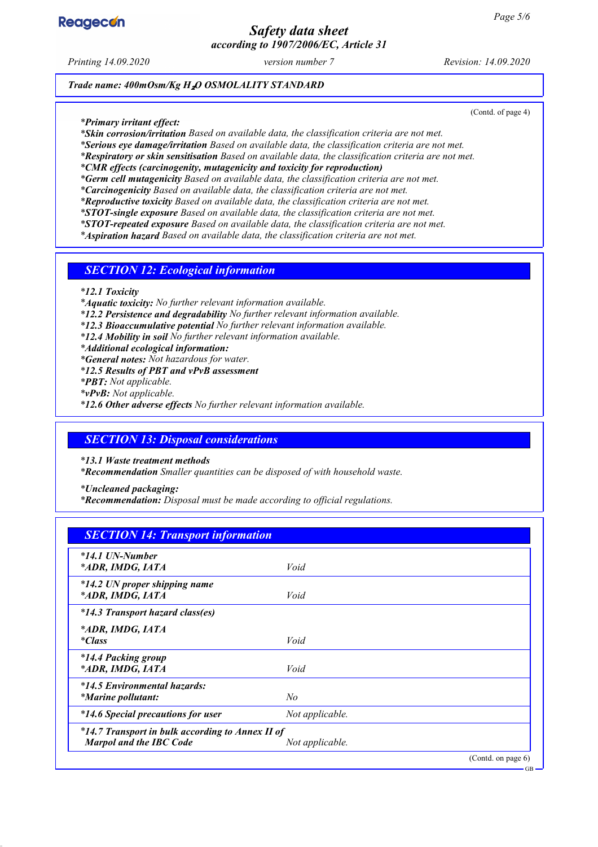

## *Safety data sheet according to 1907/2006/EC, Article 31*

*Printing 14.09.2020 version number 7 Revision: 14.09.2020*

(Contd. of page 4)

GB

*Trade name: 400mOsm/Kg H*₂*O OSMOLALITY STANDARD*

*\* Primary irritant effect:*

*\* Skin corrosion/irritation Based on available data, the classification criteria are not met.*

*\* Serious eye damage/irritation Based on available data, the classification criteria are not met.*

*\* Respiratory or skin sensitisation Based on available data, the classification criteria are not met.*

*\* CMR effects (carcinogenity, mutagenicity and toxicity for reproduction)*

*\* Germ cell mutagenicity Based on available data, the classification criteria are not met.*

*\* Carcinogenicity Based on available data, the classification criteria are not met.*

*\* Reproductive toxicity Based on available data, the classification criteria are not met.*

*\* STOT-single exposure Based on available data, the classification criteria are not met. \* STOT-repeated exposure Based on available data, the classification criteria are not met.*

*\* Aspiration hazard Based on available data, the classification criteria are not met.*

*SECTION 12: Ecological information*

*\* 12.1 Toxicity*

*\* Aquatic toxicity: No further relevant information available.*

*\* 12.2 Persistence and degradability No further relevant information available.*

*\* 12.3 Bioaccumulative potential No further relevant information available.*

*\* 12.4 Mobility in soil No further relevant information available.*

*\* Additional ecological information:*

*\* General notes: Not hazardous for water.*

*\* 12.5 Results of PBT and vPvB assessment*

*\* PBT: Not applicable.*

*\* vPvB: Not applicable.*

*\* 12.6 Other adverse effects No further relevant information available.*

## *SECTION 13: Disposal considerations*

*\* 13.1 Waste treatment methods*

*\* Recommendation Smaller quantities can be disposed of with household waste.*

*\* Uncleaned packaging:*

*\* Recommendation: Disposal must be made according to official regulations.*

## *SECTION 14: Transport information*

| $*14.1$ UN-Number<br>*ADR, IMDG, IATA                                              | Void            |                       |
|------------------------------------------------------------------------------------|-----------------|-----------------------|
| *14.2 UN proper shipping name<br>*ADR, IMDG, IATA                                  | Void            |                       |
| *14.3 Transport hazard class(es)                                                   |                 |                       |
| *ADR, IMDG, IATA<br><i>*Class</i>                                                  | Void            |                       |
| *14.4 Packing group<br>*ADR, IMDG, IATA                                            | Void            |                       |
| *14.5 Environmental hazards:<br><i>*Marine pollutant:</i>                          | No              |                       |
| *14.6 Special precautions for user                                                 | Not applicable. |                       |
| *14.7 Transport in bulk according to Annex II of<br><b>Marpol and the IBC Code</b> | Not applicable. |                       |
|                                                                                    |                 | (Contd. on page $6$ ) |